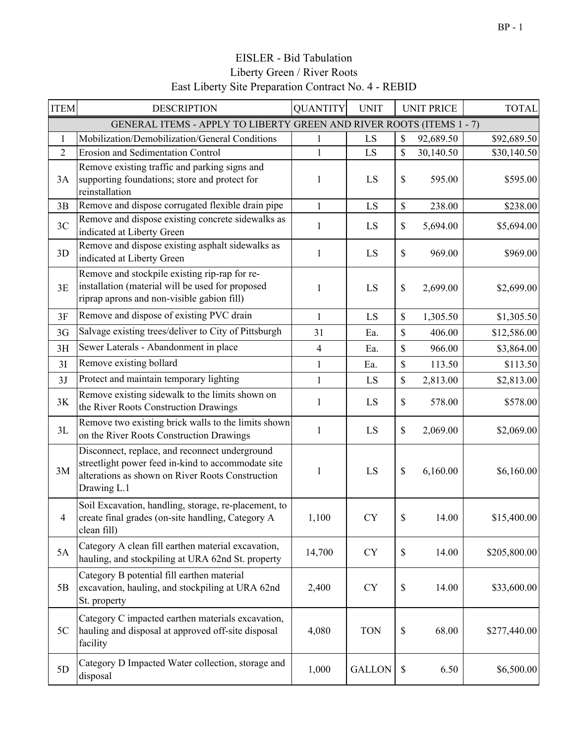| <b>ITEM</b>    | <b>DESCRIPTION</b>                                                                                                                                                      | <b>QUANTITY</b> | <b>UNIT</b>   | <b>UNIT PRICE</b> | <b>TOTAL</b> |
|----------------|-------------------------------------------------------------------------------------------------------------------------------------------------------------------------|-----------------|---------------|-------------------|--------------|
|                | GENERAL ITEMS - APPLY TO LIBERTY GREEN AND RIVER ROOTS (ITEMS 1 - 7)                                                                                                    |                 |               |                   |              |
| 1              | Mobilization/Demobilization/General Conditions                                                                                                                          | 1               | LS            | \$<br>92,689.50   | \$92,689.50  |
| $\overline{2}$ | <b>Erosion and Sedimentation Control</b>                                                                                                                                | $\mathbf{1}$    | LS            | \$<br>30,140.50   | \$30,140.50  |
| 3A             | Remove existing traffic and parking signs and<br>supporting foundations; store and protect for<br>reinstallation                                                        | 1               | LS            | \$<br>595.00      | \$595.00     |
| 3B             | Remove and dispose corrugated flexible drain pipe                                                                                                                       | $\mathbf{1}$    | LS            | \$<br>238.00      | \$238.00     |
| 3C             | Remove and dispose existing concrete sidewalks as<br>indicated at Liberty Green                                                                                         | 1               | LS            | \$<br>5,694.00    | \$5,694.00   |
| 3D             | Remove and dispose existing asphalt sidewalks as<br>indicated at Liberty Green                                                                                          | $\mathbf{1}$    | LS            | \$<br>969.00      | \$969.00     |
| 3E             | Remove and stockpile existing rip-rap for re-<br>installation (material will be used for proposed<br>riprap aprons and non-visible gabion fill)                         | 1               | LS            | \$<br>2,699.00    | \$2,699.00   |
| 3F             | Remove and dispose of existing PVC drain                                                                                                                                | $\mathbf{1}$    | LS            | \$<br>1,305.50    | \$1,305.50   |
| 3G             | Salvage existing trees/deliver to City of Pittsburgh                                                                                                                    | 31              | Ea.           | \$<br>406.00      | \$12,586.00  |
| 3H             | Sewer Laterals - Abandonment in place                                                                                                                                   | 4               | Ea.           | \$<br>966.00      | \$3,864.00   |
| 3I             | Remove existing bollard                                                                                                                                                 | $\mathbf{1}$    | Ea.           | \$<br>113.50      | \$113.50     |
| 3J             | Protect and maintain temporary lighting                                                                                                                                 | 1               | LS            | \$<br>2,813.00    | \$2,813.00   |
| 3K             | Remove existing sidewalk to the limits shown on<br>the River Roots Construction Drawings                                                                                | 1               | LS            | \$<br>578.00      | \$578.00     |
| 3L             | Remove two existing brick walls to the limits shown<br>on the River Roots Construction Drawings                                                                         | 1               | LS            | \$<br>2,069.00    | \$2,069.00   |
| 3M             | Disconnect, replace, and reconnect underground<br>streetlight power feed in-kind to accommodate site<br>alterations as shown on River Roots Construction<br>Drawing L.1 | 1               | LS            | \$<br>6,160.00    | \$6,160.00   |
| 4              | Soil Excavation, handling, storage, re-placement, to<br>create final grades (on-site handling, Category A<br>clean fill)                                                | 1,100           | <b>CY</b>     | \$<br>14.00       | \$15,400.00  |
| 5A             | Category A clean fill earthen material excavation,<br>hauling, and stockpiling at URA 62nd St. property                                                                 | 14,700          | CY            | \$<br>14.00       | \$205,800.00 |
| 5B             | Category B potential fill earthen material<br>excavation, hauling, and stockpiling at URA 62nd<br>St. property                                                          | 2,400           | <b>CY</b>     | \$<br>14.00       | \$33,600.00  |
| 5C             | Category C impacted earthen materials excavation,<br>hauling and disposal at approved off-site disposal<br>facility                                                     | 4,080           | <b>TON</b>    | \$<br>68.00       | \$277,440.00 |
| 5D             | Category D Impacted Water collection, storage and<br>disposal                                                                                                           | 1,000           | <b>GALLON</b> | \$<br>6.50        | \$6,500.00   |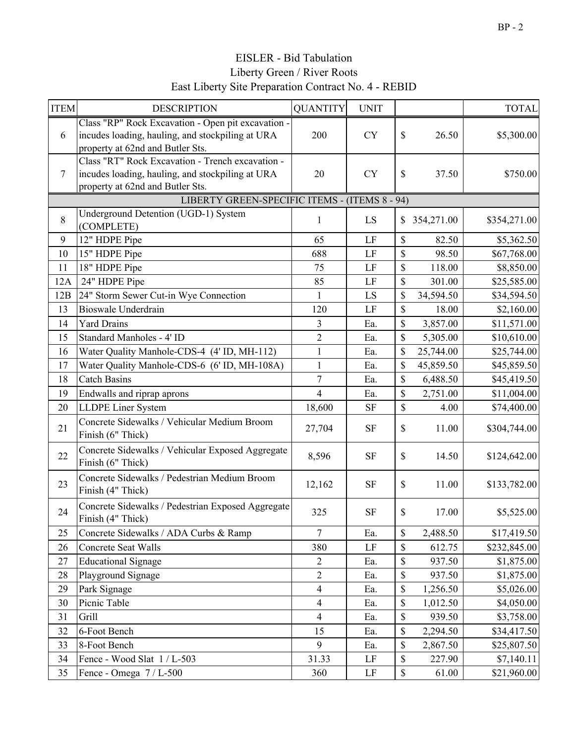Liberty Green / River Roots East Liberty Site Preparation Contract No. 4 - REBID EISLER - Bid Tabulation

| <b>ITEM</b> | <b>DESCRIPTION</b>                                                                                                                         | <b>QUANTITY</b>         | <b>UNIT</b> |              |            | <b>TOTAL</b> |
|-------------|--------------------------------------------------------------------------------------------------------------------------------------------|-------------------------|-------------|--------------|------------|--------------|
| 6           | Class "RP" Rock Excavation - Open pit excavation -<br>incudes loading, hauling, and stockpiling at URA<br>property at 62nd and Butler Sts. | 200                     | <b>CY</b>   | \$           | 26.50      | \$5,300.00   |
| $\tau$      | Class "RT" Rock Excavation - Trench excavation -<br>incudes loading, hauling, and stockpiling at URA<br>property at 62nd and Butler Sts.   | 20                      | <b>CY</b>   | \$           | 37.50      | \$750.00     |
|             | LIBERTY GREEN-SPECIFIC ITEMS - (ITEMS 8 - 94)                                                                                              |                         |             |              |            |              |
| 8           | Underground Detention (UGD-1) System<br>(COMPLETE)                                                                                         | 1                       | LS          | \$           | 354,271.00 | \$354,271.00 |
| 9           | 12" HDPE Pipe                                                                                                                              | 65                      | LF          | \$           | 82.50      | \$5,362.50   |
| 10          | 15" HDPE Pipe                                                                                                                              | 688                     | LF          | \$           | 98.50      | \$67,768.00  |
| 11          | 18" HDPE Pipe                                                                                                                              | 75                      | LF          | \$           | 118.00     | \$8,850.00   |
| 12A         | 24" HDPE Pipe                                                                                                                              | 85                      | LF          | \$           | 301.00     | \$25,585.00  |
| 12B         | 24" Storm Sewer Cut-in Wye Connection                                                                                                      | 1                       | LS          | \$           | 34,594.50  | \$34,594.50  |
| 13          | <b>Bioswale Underdrain</b>                                                                                                                 | 120                     | LF          | \$           | 18.00      | \$2,160.00   |
| 14          | <b>Yard Drains</b>                                                                                                                         | $\overline{\mathbf{3}}$ | Ea.         | \$           | 3,857.00   | \$11,571.00  |
| 15          | Standard Manholes - 4' ID                                                                                                                  | $\overline{2}$          | Ea.         | \$           | 5,305.00   | \$10,610.00  |
| 16          | Water Quality Manhole-CDS-4 (4' ID, MH-112)                                                                                                | $\mathbf{1}$            | Ea.         | \$           | 25,744.00  | \$25,744.00  |
| 17          | Water Quality Manhole-CDS-6 (6' ID, MH-108A)                                                                                               | $\mathbf{1}$            | Ea.         | \$           | 45,859.50  | \$45,859.50  |
| 18          | <b>Catch Basins</b>                                                                                                                        | 7                       | Ea.         | \$           | 6,488.50   | \$45,419.50  |
| 19          | Endwalls and riprap aprons                                                                                                                 | 4                       | Ea.         | \$           | 2,751.00   | \$11,004.00  |
| 20          | LLDPE Liner System                                                                                                                         | 18,600                  | <b>SF</b>   | \$           | 4.00       | \$74,400.00  |
| 21          | Concrete Sidewalks / Vehicular Medium Broom<br>Finish (6" Thick)                                                                           | 27,704                  | <b>SF</b>   | \$           | 11.00      | \$304,744.00 |
| 22          | Concrete Sidewalks / Vehicular Exposed Aggregate<br>Finish (6" Thick)                                                                      | 8,596                   | <b>SF</b>   | \$           | 14.50      | \$124,642.00 |
| 23          | Concrete Sidewalks / Pedestrian Medium Broom<br>Finish (4" Thick)                                                                          | 12,162                  | <b>SF</b>   | \$           | 11.00      | \$133,782.00 |
| 24          | Concrete Sidewalks / Pedestrian Exposed Aggregate<br>Finish (4" Thick)                                                                     | 325                     | <b>SF</b>   | \$           | 17.00      | \$5,525.00   |
| 25          | Concrete Sidewalks / ADA Curbs & Ramp                                                                                                      | $\overline{7}$          | Ea.         | \$           | 2,488.50   | \$17,419.50  |
| 26          | Concrete Seat Walls                                                                                                                        | 380                     | $\rm LF$    | \$           | 612.75     | \$232,845.00 |
| 27          | <b>Educational Signage</b>                                                                                                                 | $\overline{2}$          | Ea.         | \$           | 937.50     | \$1,875.00   |
| 28          | Playground Signage                                                                                                                         | $\overline{2}$          | Ea.         | \$           | 937.50     | \$1,875.00   |
| 29          | Park Signage                                                                                                                               | $\overline{4}$          | Ea.         | \$           | 1,256.50   | \$5,026.00   |
| 30          | Picnic Table                                                                                                                               | $\overline{\mathbf{4}}$ | Ea.         | \$           | 1,012.50   | \$4,050.00   |
| 31          | Grill                                                                                                                                      | $\overline{4}$          | Ea.         | \$           | 939.50     | \$3,758.00   |
| 32          | 6-Foot Bench                                                                                                                               | 15                      | Ea.         | \$           | 2,294.50   | \$34,417.50  |
| 33          | 8-Foot Bench                                                                                                                               | 9                       | Ea.         | \$           | 2,867.50   | \$25,807.50  |
| 34          | Fence - Wood Slat 1 / L-503                                                                                                                | 31.33                   | LF          | \$           | 227.90     | \$7,140.11   |
| 35          | Fence - Omega 7 / L-500                                                                                                                    | 360                     | LF          | $\mathbb{S}$ | 61.00      | \$21,960.00  |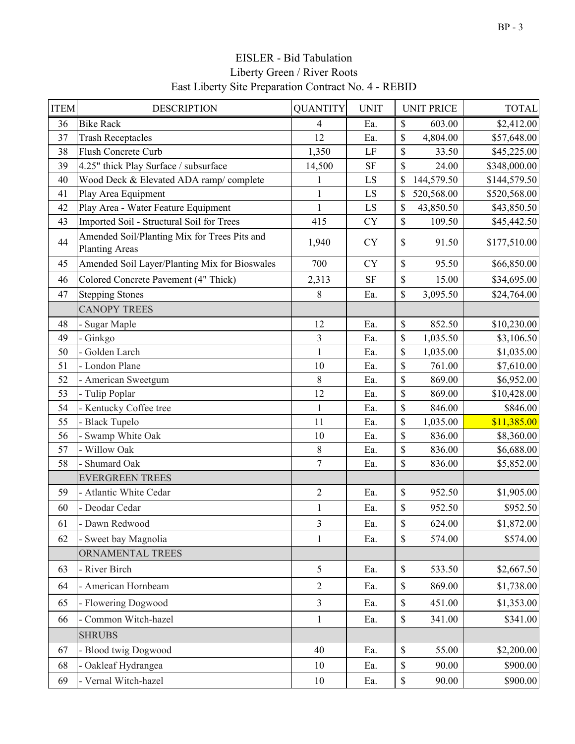| <b>ITEM</b> | <b>DESCRIPTION</b>                                                    | <b>QUANTITY</b> | <b>UNIT</b> | <b>UNIT PRICE</b>      | <b>TOTAL</b> |
|-------------|-----------------------------------------------------------------------|-----------------|-------------|------------------------|--------------|
| 36          | <b>Bike Rack</b>                                                      | 4               | Ea.         | \$<br>603.00           | \$2,412.00   |
| 37          | <b>Trash Receptacles</b>                                              | 12              | Ea.         | \$<br>4,804.00         | \$57,648.00  |
| 38          | Flush Concrete Curb                                                   | 1,350           | LF          | \$<br>33.50            | \$45,225.00  |
| 39          | 4.25" thick Play Surface / subsurface                                 | 14,500          | <b>SF</b>   | \$<br>24.00            | \$348,000.00 |
| 40          | Wood Deck & Elevated ADA ramp/complete                                | 1               | LS          | \$<br>144,579.50       | \$144,579.50 |
| 41          | Play Area Equipment                                                   | $\mathbf{1}$    | LS          | \$<br>520,568.00       | \$520,568.00 |
| 42          | Play Area - Water Feature Equipment                                   | $\mathbf{1}$    | LS          | \$<br>43,850.50        | \$43,850.50  |
| 43          | Imported Soil - Structural Soil for Trees                             | 415             | <b>CY</b>   | $\mathbb{S}$<br>109.50 | \$45,442.50  |
| 44          | Amended Soil/Planting Mix for Trees Pits and<br><b>Planting Areas</b> | 1,940           | <b>CY</b>   | \$<br>91.50            | \$177,510.00 |
| 45          | Amended Soil Layer/Planting Mix for Bioswales                         | 700             | <b>CY</b>   | \$<br>95.50            | \$66,850.00  |
| 46          | Colored Concrete Pavement (4" Thick)                                  | 2,313           | <b>SF</b>   | $\$$<br>15.00          | \$34,695.00  |
| 47          | <b>Stepping Stones</b>                                                | 8               | Ea.         | \$<br>3,095.50         | \$24,764.00  |
|             | <b>CANOPY TREES</b>                                                   |                 |             |                        |              |
| 48          | - Sugar Maple                                                         | 12              | Ea.         | $\mathbb{S}$<br>852.50 | \$10,230.00  |
| 49          | - Ginkgo                                                              | $\overline{3}$  | Ea.         | \$<br>1,035.50         | \$3,106.50   |
| 50          | - Golden Larch                                                        | $\mathbf{1}$    | Ea.         | \$<br>1,035.00         | \$1,035.00   |
| 51          | - London Plane                                                        | 10              | Ea.         | \$<br>761.00           | \$7,610.00   |
| 52          | American Sweetgum                                                     | 8               | Ea.         | \$<br>869.00           | \$6,952.00   |
| 53          | - Tulip Poplar                                                        | 12              | Ea.         | \$<br>869.00           | \$10,428.00  |
| 54          | Kentucky Coffee tree                                                  | $\mathbf{1}$    | Ea.         | \$<br>846.00           | \$846.00     |
| 55          | Black Tupelo                                                          | 11              | Ea.         | \$<br>1,035.00         | \$11,385.00  |
| 56          | Swamp White Oak                                                       | 10              | Ea.         | \$<br>836.00           | \$8,360.00   |
| 57          | - Willow Oak                                                          | 8               | Ea.         | \$<br>836.00           | \$6,688.00   |
| 58          | Shumard Oak                                                           | $\overline{7}$  | Ea.         | \$<br>836.00           | \$5,852.00   |
|             | <b>EVERGREEN TREES</b>                                                |                 |             |                        |              |
| 59          | - Atlantic White Cedar                                                | $\overline{2}$  | Ea.         | $\$$<br>952.50         | \$1,905.00   |
| 60          | - Deodar Cedar                                                        | $\mathbf{1}$    | Ea.         | \$<br>952.50           | \$952.50     |
| 61          | - Dawn Redwood                                                        | 3               | Ea.         | \$<br>624.00           | \$1,872.00   |
| 62          | - Sweet bay Magnolia                                                  | 1               | Ea.         | 574.00<br>\$           | \$574.00     |
|             | ORNAMENTAL TREES                                                      |                 |             |                        |              |
| 63          | - River Birch                                                         | 5               | Ea.         | $\mathbb S$<br>533.50  | \$2,667.50   |
| 64          | - American Hornbeam                                                   | $\overline{2}$  | Ea.         | \$<br>869.00           | \$1,738.00   |
| 65          | - Flowering Dogwood                                                   | $\overline{3}$  | Ea.         | $\mathbb{S}$<br>451.00 | \$1,353.00   |
| 66          | - Common Witch-hazel                                                  | $\mathbf{1}$    | Ea.         | \$<br>341.00           | \$341.00     |
|             | <b>SHRUBS</b>                                                         |                 |             |                        |              |
| 67          | - Blood twig Dogwood                                                  | 40              | Ea.         | $\mathbb S$<br>55.00   | \$2,200.00   |
| 68          | - Oakleaf Hydrangea                                                   | 10              | Ea.         | $\$$<br>90.00          | \$900.00     |
| 69          | - Vernal Witch-hazel                                                  | 10              | Ea.         | \$<br>90.00            | \$900.00     |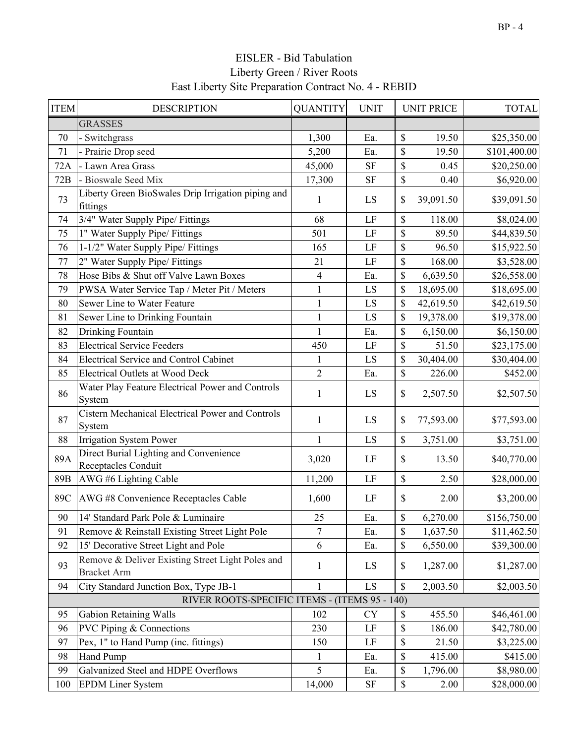| <b>ITEM</b> | <b>DESCRIPTION</b>                                                     | <b>QUANTITY</b> | <b>UNIT</b> | <b>UNIT PRICE</b> | <b>TOTAL</b> |
|-------------|------------------------------------------------------------------------|-----------------|-------------|-------------------|--------------|
|             | <b>GRASSES</b>                                                         |                 |             |                   |              |
| 70          | - Switchgrass                                                          | 1,300           | Ea.         | \$<br>19.50       | \$25,350.00  |
| 71          | Prairie Drop seed                                                      | 5,200           | Ea.         | \$<br>19.50       | \$101,400.00 |
| 72A         | Lawn Area Grass                                                        | 45,000          | <b>SF</b>   | \$<br>0.45        | \$20,250.00  |
| 72B         | - Bioswale Seed Mix                                                    | 17,300          | <b>SF</b>   | \$<br>0.40        | \$6,920.00   |
| 73          | Liberty Green BioSwales Drip Irrigation piping and<br>fittings         | 1               | LS          | \$<br>39,091.50   | \$39,091.50  |
| 74          | 3/4" Water Supply Pipe/ Fittings                                       | 68              | LF          | \$<br>118.00      | \$8,024.00   |
| 75          | 1" Water Supply Pipe/ Fittings                                         | 501             | LF          | \$<br>89.50       | \$44,839.50  |
| 76          | 1-1/2" Water Supply Pipe/ Fittings                                     | 165             | LF          | \$<br>96.50       | \$15,922.50  |
| 77          | 2" Water Supply Pipe/ Fittings                                         | 21              | LF          | \$<br>168.00      | \$3,528.00   |
| 78          | Hose Bibs & Shut off Valve Lawn Boxes                                  | $\overline{4}$  | Ea.         | \$<br>6,639.50    | \$26,558.00  |
| 79          | PWSA Water Service Tap / Meter Pit / Meters                            | $\mathbf{1}$    | LS          | \$<br>18,695.00   | \$18,695.00  |
| 80          | Sewer Line to Water Feature                                            | $\mathbf{1}$    | LS          | \$<br>42,619.50   | \$42,619.50  |
| 81          | Sewer Line to Drinking Fountain                                        | $\mathbf{1}$    | LS          | \$<br>19,378.00   | \$19,378.00  |
| 82          | Drinking Fountain                                                      | $\mathbf{1}$    | Ea.         | \$<br>6,150.00    | \$6,150.00   |
| 83          | <b>Electrical Service Feeders</b>                                      | 450             | LF          | \$<br>51.50       | \$23,175.00  |
| 84          | <b>Electrical Service and Control Cabinet</b>                          | $\mathbf{1}$    | LS          | \$<br>30,404.00   | \$30,404.00  |
| 85          | <b>Electrical Outlets at Wood Deck</b>                                 | $\overline{2}$  | Ea.         | \$<br>226.00      | \$452.00     |
| 86          | Water Play Feature Electrical Power and Controls<br>System             | $\mathbf{1}$    | LS          | \$<br>2,507.50    | \$2,507.50   |
| 87          | Cistern Mechanical Electrical Power and Controls<br>System             | $\mathbf{1}$    | LS          | \$<br>77,593.00   | \$77,593.00  |
| 88          | Irrigation System Power                                                | $\mathbf{1}$    | LS          | \$<br>3,751.00    | \$3,751.00   |
| 89A         | Direct Burial Lighting and Convenience<br>Receptacles Conduit          | 3,020           | LF          | \$<br>13.50       | \$40,770.00  |
| 89B         | AWG #6 Lighting Cable                                                  | 11,200          | LF          | \$<br>2.50        | \$28,000.00  |
| 89C         | AWG #8 Convenience Receptacles Cable                                   | 1,600           | LF          | \$<br>2.00        | \$3,200.00   |
| 90          | 14' Standard Park Pole & Luminaire                                     | 25              | Ea.         | \$<br>6,270.00    | \$156,750.00 |
| 91          | Remove & Reinstall Existing Street Light Pole                          | 7               | Ea.         | \$<br>1,637.50    | \$11,462.50  |
| 92          | 15' Decorative Street Light and Pole                                   | 6               | Ea.         | \$<br>6,550.00    | \$39,300.00  |
| 93          | Remove & Deliver Existing Street Light Poles and<br><b>Bracket Arm</b> | 1               | LS          | \$<br>1,287.00    | \$1,287.00   |
| 94          | City Standard Junction Box, Type JB-1                                  | 1               | LS          | \$<br>2,003.50    | \$2,003.50   |
|             | RIVER ROOTS-SPECIFIC ITEMS - (ITEMS 95 - 140)                          |                 |             |                   |              |
| 95          | <b>Gabion Retaining Walls</b>                                          | 102             | <b>CY</b>   | \$<br>455.50      | \$46,461.00  |
| 96          | <b>PVC Piping &amp; Connections</b>                                    | 230             | LF          | \$<br>186.00      | \$42,780.00  |
| 97          | Pex, 1" to Hand Pump (inc. fittings)                                   | 150             | LF          | \$<br>21.50       | \$3,225.00   |
| 98          | Hand Pump                                                              | $\mathbf 1$     | Ea.         | \$<br>415.00      | \$415.00     |
| 99          | Galvanized Steel and HDPE Overflows                                    | 5               | Ea.         | \$<br>1,796.00    | \$8,980.00   |
| 100         | <b>EPDM Liner System</b>                                               | 14,000          | <b>SF</b>   | \$<br>2.00        | \$28,000.00  |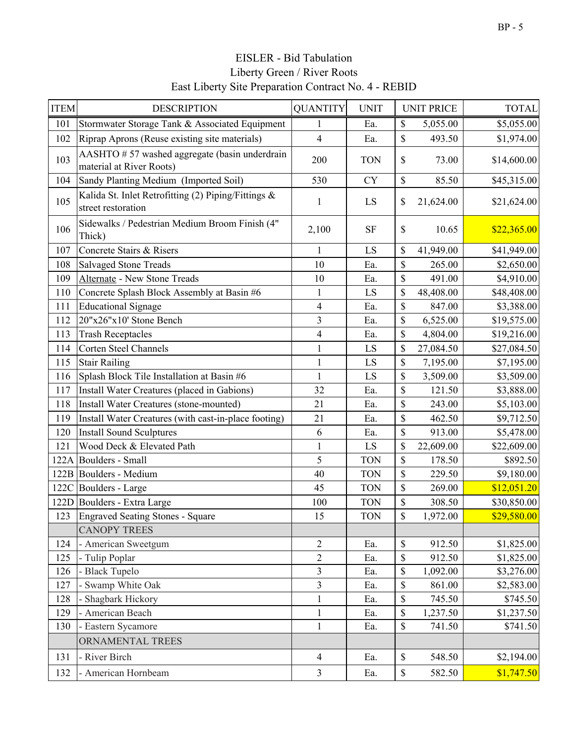| <b>ITEM</b> | <b>DESCRIPTION</b>                                                        | <b>QUANTITY</b>         | <b>UNIT</b> |              | <b>UNIT PRICE</b> | <b>TOTAL</b> |
|-------------|---------------------------------------------------------------------------|-------------------------|-------------|--------------|-------------------|--------------|
| 101         | Stormwater Storage Tank & Associated Equipment                            | 1                       | Ea.         | \$           | 5,055.00          | \$5,055.00   |
| 102         | Riprap Aprons (Reuse existing site materials)                             | $\overline{\mathbf{4}}$ | Ea.         | \$           | 493.50            | \$1,974.00   |
| 103         | AASHTO #57 washed aggregate (basin underdrain<br>material at River Roots) | 200                     | <b>TON</b>  | \$           | 73.00             | \$14,600.00  |
| 104         | Sandy Planting Medium (Imported Soil)                                     | 530                     | <b>CY</b>   | \$           | 85.50             | \$45,315.00  |
| 105         | Kalida St. Inlet Retrofitting (2) Piping/Fittings &<br>street restoration | $\mathbf{1}$            | LS          | \$           | 21,624.00         | \$21,624.00  |
| 106         | Sidewalks / Pedestrian Medium Broom Finish (4"<br>Thick)                  | 2,100                   | <b>SF</b>   | $\mathbb{S}$ | 10.65             | \$22,365.00  |
| 107         | Concrete Stairs & Risers                                                  | 1                       | LS          | \$           | 41,949.00         | \$41,949.00  |
| 108         | <b>Salvaged Stone Treads</b>                                              | 10                      | Ea.         | \$           | 265.00            | \$2,650.00   |
| 109         | Alternate - New Stone Treads                                              | 10                      | Ea.         | \$           | 491.00            | \$4,910.00   |
| 110         | Concrete Splash Block Assembly at Basin #6                                | $\mathbf{1}$            | LS          | \$           | 48,408.00         | \$48,408.00  |
| 111         | <b>Educational Signage</b>                                                | $\overline{\mathbf{4}}$ | Ea.         | \$           | 847.00            | \$3,388.00   |
| 112         | 20"x26"x10' Stone Bench                                                   | $\overline{\mathbf{3}}$ | Ea.         | \$           | 6,525.00          | \$19,575.00  |
| 113         | <b>Trash Receptacles</b>                                                  | $\overline{\mathbf{4}}$ | Ea.         | \$           | 4,804.00          | \$19,216.00  |
| 114         | Corten Steel Channels                                                     | $\mathbf{1}$            | LS          | \$           | 27,084.50         | \$27,084.50  |
| 115         | <b>Stair Railing</b>                                                      | $\mathbf{1}$            | LS          | \$           | 7,195.00          | \$7,195.00   |
| 116         | Splash Block Tile Installation at Basin #6                                | $\mathbf{1}$            | LS          | \$           | 3,509.00          | \$3,509.00   |
| 117         | Install Water Creatures (placed in Gabions)                               | 32                      | Ea.         | \$           | 121.50            | \$3,888.00   |
| 118         | Install Water Creatures (stone-mounted)                                   | 21                      | Ea.         | \$           | 243.00            | \$5,103.00   |
| 119         | Install Water Creatures (with cast-in-place footing)                      | 21                      | Ea.         | \$           | 462.50            | \$9,712.50   |
| 120         | <b>Install Sound Sculptures</b>                                           | 6                       | Ea.         | \$           | 913.00            | \$5,478.00   |
| 121         | Wood Deck & Elevated Path                                                 | $\mathbf{1}$            | LS          | \$           | 22,609.00         | \$22,609.00  |
|             | 122A Boulders - Small                                                     | 5                       | <b>TON</b>  | \$           | 178.50            | \$892.50     |
|             | 122B Boulders - Medium                                                    | 40                      | <b>TON</b>  | \$           | 229.50            | \$9,180.00   |
|             | 122C Boulders - Large                                                     | 45                      | <b>TON</b>  | \$           | 269.00            | \$12,051.20  |
|             | 122D Boulders - Extra Large                                               | 100                     | <b>TON</b>  | \$           | 308.50            | \$30,850.00  |
| 123         | Engraved Seating Stones - Square                                          | 15                      | <b>TON</b>  | \$           | 1,972.00          | \$29,580.00  |
|             | <b>CANOPY TREES</b>                                                       |                         |             |              |                   |              |
| 124         | - American Sweetgum                                                       | $\overline{2}$          | Ea.         | \$           | 912.50            | \$1,825.00   |
| 125         | - Tulip Poplar                                                            | $\overline{2}$          | Ea.         | \$           | 912.50            | \$1,825.00   |
| 126         | - Black Tupelo                                                            | $\overline{\mathbf{3}}$ | Ea.         | \$           | 1,092.00          | \$3,276.00   |
| 127         | - Swamp White Oak                                                         | $\overline{3}$          | Ea.         | \$           | 861.00            | \$2,583.00   |
| 128         | - Shagbark Hickory                                                        | $\mathbf{1}$            | Ea.         | $\$$         | 745.50            | \$745.50     |
| 129         | - American Beach                                                          | $\mathbf{1}$            | Ea.         | \$           | 1,237.50          | \$1,237.50   |
| 130         | - Eastern Sycamore                                                        | $\mathbf{1}$            | Ea.         | $\$$         | 741.50            | \$741.50     |
|             | ORNAMENTAL TREES                                                          |                         |             |              |                   |              |
| 131         | - River Birch                                                             | $\overline{4}$          | Ea.         | \$           | 548.50            | \$2,194.00   |
| 132         | - American Hornbeam                                                       | $\overline{3}$          | Ea.         | \$           | 582.50            | \$1,747.50   |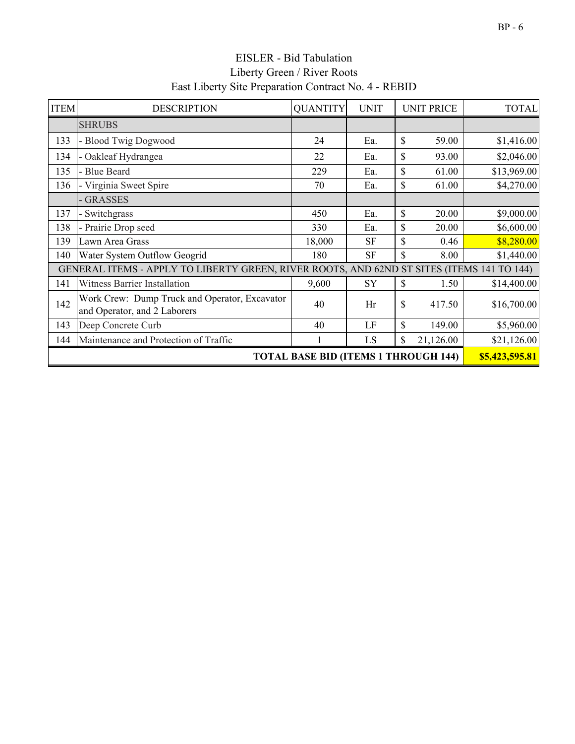| <b>ITEM</b>                                                                               | <b>DESCRIPTION</b>                                                            | <b>QUANTITY</b> | <b>UNIT</b> |               | <b>UNIT PRICE</b> | <b>TOTAL</b> |
|-------------------------------------------------------------------------------------------|-------------------------------------------------------------------------------|-----------------|-------------|---------------|-------------------|--------------|
|                                                                                           | <b>SHRUBS</b>                                                                 |                 |             |               |                   |              |
| 133                                                                                       | - Blood Twig Dogwood                                                          | 24              | Ea.         | $\mathcal{S}$ | 59.00             | \$1,416.00   |
| 134                                                                                       | - Oakleaf Hydrangea                                                           | 22              | Ea.         | \$            | 93.00             | \$2,046.00   |
| 135                                                                                       | - Blue Beard                                                                  | 229             | Ea.         | \$            | 61.00             | \$13,969.00  |
| 136                                                                                       | - Virginia Sweet Spire                                                        | 70              | Ea.         | \$            | 61.00             | \$4,270.00   |
|                                                                                           | - GRASSES                                                                     |                 |             |               |                   |              |
| 137                                                                                       | - Switchgrass                                                                 | 450             | Ea.         | $\mathbb{S}$  | 20.00             | \$9,000.00   |
| 138                                                                                       | - Prairie Drop seed                                                           | 330             | Ea.         | \$            | 20.00             | \$6,600.00   |
| 139                                                                                       | Lawn Area Grass                                                               | 18,000          | <b>SF</b>   | \$            | 0.46              | \$8,280.00   |
| 140                                                                                       | Water System Outflow Geogrid                                                  | 180             | <b>SF</b>   | \$            | 8.00              | \$1,440.00   |
| GENERAL ITEMS - APPLY TO LIBERTY GREEN, RIVER ROOTS, AND 62ND ST SITES (ITEMS 141 TO 144) |                                                                               |                 |             |               |                   |              |
| 141                                                                                       | <b>Witness Barrier Installation</b>                                           | 9,600           | SY          | \$            | 1.50              | \$14,400.00  |
| 142                                                                                       | Work Crew: Dump Truck and Operator, Excavator<br>and Operator, and 2 Laborers | 40              | Hr          | \$            | 417.50            | \$16,700.00  |
| 143                                                                                       | Deep Concrete Curb                                                            | 40              | LF          | \$            | 149.00            | \$5,960.00   |
| 144                                                                                       | Maintenance and Protection of Traffic                                         |                 | LS          | \$            | 21,126.00         | \$21,126.00  |
|                                                                                           | <b>TOTAL BASE BID (ITEMS 1 THROUGH 144)</b>                                   |                 |             |               |                   |              |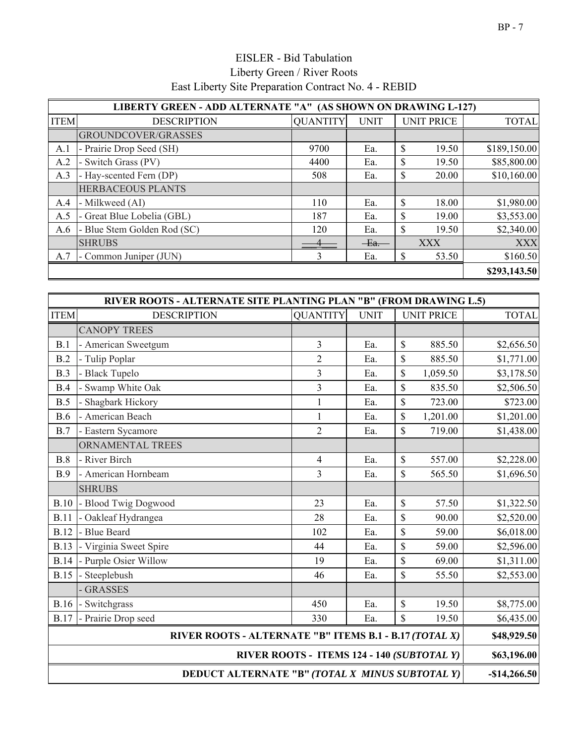|             | LIBERTY GREEN - ADD ALTERNATE "A" (AS SHOWN ON DRAWING L-127) |                 |             |                       |              |  |  |
|-------------|---------------------------------------------------------------|-----------------|-------------|-----------------------|--------------|--|--|
| <b>ITEM</b> | <b>DESCRIPTION</b>                                            | <b>OUANTITY</b> | <b>UNIT</b> | <b>UNIT PRICE</b>     | <b>TOTAL</b> |  |  |
|             | GROUNDCOVER/GRASSES                                           |                 |             |                       |              |  |  |
| A.1         | - Prairie Drop Seed (SH)                                      | 9700            | Ea.         | \$<br>19.50           | \$189,150.00 |  |  |
| A.2         | - Switch Grass (PV)                                           | 4400            | Ea.         | \$<br>19.50           | \$85,800.00  |  |  |
| A.3         | - Hay-scented Fern (DP)                                       | 508             | Ea.         | \$<br>20.00           | \$10,160.00  |  |  |
|             | <b>HERBACEOUS PLANTS</b>                                      |                 |             |                       |              |  |  |
| A.4         | - Milkweed (AI)                                               | 110             | Ea.         | \$<br>18.00           | \$1,980.00   |  |  |
| A.5         | - Great Blue Lobelia (GBL)                                    | 187             | Ea.         | \$<br>19.00           | \$3,553.00   |  |  |
| A.6         | - Blue Stem Golden Rod (SC)                                   | 120             | Ea.         | $\mathbb{S}$<br>19.50 | \$2,340.00   |  |  |
|             | <b>SHRUBS</b>                                                 |                 | Ex.         | <b>XXX</b>            | <b>XXX</b>   |  |  |
| A.7         | - Common Juniper (JUN)                                        | 3               | Ea.         | \$<br>53.50           | \$160.50     |  |  |
|             |                                                               |                 |             |                       |              |  |  |

|             | RIVER ROOTS - ALTERNATE SITE PLANTING PLAN "B" (FROM DRAWING L.5) |                          |             |                                            |              |  |  |
|-------------|-------------------------------------------------------------------|--------------------------|-------------|--------------------------------------------|--------------|--|--|
| <b>ITEM</b> | <b>DESCRIPTION</b>                                                | <b>QUANTITY</b>          | <b>UNIT</b> | <b>UNIT PRICE</b>                          | <b>TOTAL</b> |  |  |
|             | <b>CANOPY TREES</b>                                               |                          |             |                                            |              |  |  |
| B.1         | - American Sweetgum                                               | 3                        | Ea.         | \$<br>885.50                               | \$2,656.50   |  |  |
| B.2         | - Tulip Poplar                                                    | $\overline{2}$           | Ea.         | \$<br>885.50                               | \$1,771.00   |  |  |
| B.3         | - Black Tupelo                                                    | 3                        | Ea.         | \$<br>1,059.50                             | \$3,178.50   |  |  |
| B.4         | - Swamp White Oak                                                 | $\overline{\mathbf{3}}$  | Ea.         | \$<br>835.50                               | \$2,506.50   |  |  |
| B.5         | - Shagbark Hickory                                                | $\mathbf{1}$             | Ea.         | \$<br>723.00                               | \$723.00     |  |  |
| <b>B.6</b>  | - American Beach                                                  | $\mathbf{1}$             | Ea.         | \$<br>1,201.00                             | \$1,201.00   |  |  |
| B.7         | - Eastern Sycamore                                                | $\overline{2}$           | Ea.         | \$<br>719.00                               | \$1,438.00   |  |  |
|             | ORNAMENTAL TREES                                                  |                          |             |                                            |              |  |  |
| B.8         | - River Birch                                                     | $\overline{\mathcal{A}}$ | Ea.         | \$<br>557.00                               | \$2,228.00   |  |  |
| B.9         | - American Hornbeam                                               | 3                        | Ea.         | \$<br>565.50                               | \$1,696.50   |  |  |
|             | <b>SHRUBS</b>                                                     |                          |             |                                            |              |  |  |
| <b>B.10</b> | - Blood Twig Dogwood                                              | 23                       | Ea.         | \$<br>57.50                                | \$1,322.50   |  |  |
| <b>B.11</b> | - Oakleaf Hydrangea                                               | 28                       | Ea.         | \$<br>90.00                                | \$2,520.00   |  |  |
| <b>B.12</b> | - Blue Beard                                                      | 102                      | Ea.         | \$<br>59.00                                | \$6,018.00   |  |  |
| <b>B.13</b> | - Virginia Sweet Spire                                            | 44                       | Ea.         | \$<br>59.00                                | \$2,596.00   |  |  |
| <b>B.14</b> | - Purple Osier Willow                                             | 19                       | Ea.         | \$<br>69.00                                | \$1,311.00   |  |  |
| <b>B.15</b> | - Steeplebush                                                     | 46                       | Ea.         | \$<br>55.50                                | \$2,553.00   |  |  |
|             | - GRASSES                                                         |                          |             |                                            |              |  |  |
| <b>B.16</b> | - Switchgrass                                                     | 450                      | Ea.         | $\mathbb{S}$<br>19.50                      | \$8,775.00   |  |  |
| <b>B.17</b> | - Prairie Drop seed                                               | 330                      | Ea.         | \$<br>19.50                                | \$6,435.00   |  |  |
|             | RIVER ROOTS - ALTERNATE "B" ITEMS B.1 - B.17 (TOTAL X)            |                          |             |                                            | \$48,929.50  |  |  |
|             |                                                                   |                          |             | RIVER ROOTS - ITEMS 124 - 140 (SUBTOTAL Y) | \$63,196.00  |  |  |
|             | DEDUCT ALTERNATE "B" (TOTAL X MINUS SUBTOTAL Y)                   |                          |             |                                            |              |  |  |